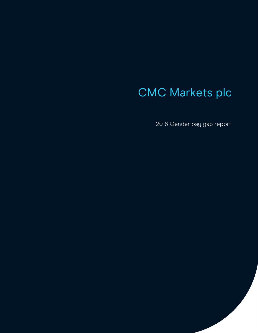# CMC Markets plc

2018 Gender pay gap report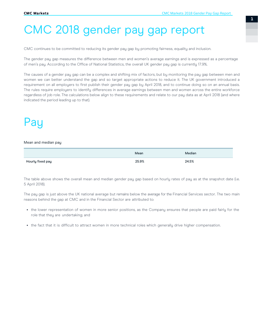# CMC 2018 gender pay gap report

CMC continues to be committed to reducing its gender pay gap by promoting fairness, equality and inclusion.

The gender pay gap measures the difference between men and women's average earnings and is expressed as a percentage of men's pay. According to the Office of National Statistics, the overall UK gender pay gap is currently 17.9%.

The causes of a gender pay gap can be a complex and shifting mix of factors, but by monitoring the pay gap between men and women we can better understand the gap and so target appropriate actions to reduce it. The UK government introduced a requirement on all employers to first publish their gender pay gap by April 2018, and to continue doing so on an annual basis. The rules require employers to identify differences in average earnings between men and women across the entire workforce regardless of job role. The calculations below align to these requirements and relate to our pay data as at April 2018 (and where indicated the period leading up to that).

# Pay

### Mean and median pay

|                  | Mean  | Median |
|------------------|-------|--------|
| Hourly fixed pay | 25.9% | 24.5%  |

The table above shows the overall mean and median gender pay gap based on hourly rates of pay as at the snapshot date (i.e. 5 April 2018).

The pay gap is just above the UK national average but remains below the average for the Financial Services sector. The two main reasons behind the gap at CMC and in the Financial Sector are attributed to:

- the lower representation of women in more senior positions, as the Company ensures that people are paid fairly for the role that they are undertaking; and
- the fact that it is difficult to attract women in more technical roles which generally drive higher compensation.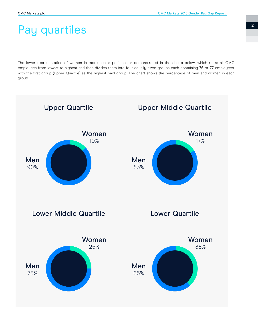# Pay quartiles

The lower representation of women in more senior positions is demonstrated in the charts below, which ranks all CMC employees from lowest to highest and then divides them into four equally sized groups each containing 76 or 77 employees, with the first group (Upper Quartile) as the highest paid group. The chart shows the percentage of men and women in each group.

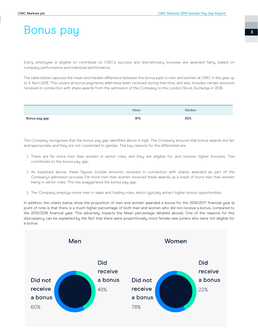### **3**

### Bonus pay

Every employee is eligible to contribute to CMC's success and discretionary bonuses are awarded fairly, based on company performance and individual performance.

The table below captures the mean and median difference between the bonus paid to men and women at CMC in the year up to 5 April 2018. This covers all bonus payments, which have been received during that time, and also includes certain amounts received in connection with share awards from the admission of the Company to the London Stock Exchange in 2016.

|               | Mean | Median |
|---------------|------|--------|
| Bonus pay gap | 81%  | 63%    |

The Company recognises that the bonus pay gap identified above is high. The Company ensures that bonus awards are fair and appropriate, and they are not connected to gender. The key reasons for the differential are:

- 1. There are far more men than women in senior roles, and they are eligible for, and receive, higher bonuses. This contributes to the bonus pay gap.
- 2. As explained above, these figures include amounts received in connection with shares awarded as part of the Company's admission process. Far more men than women received these awards, as a result of more men than women being in senior roles. This has exaggerated the bonus pay gap.
- 3. The Company employs more men in sales and trading roles, which typically attract higher bonus opportunities.

In addition, the charts below show the proportion of men and women awarded a bonus for the 2016/2017 financial year (a point of note is that there is a much higher percentage of both men and women who did not receive a bonus, compared to the 2015/2016 financial year. This adversely impacts the Mean percentage detailed above). One of the reasons for this discrepancy can be explained by the fact that there were proportionally more female new joiners who were not eligible for a bonus.

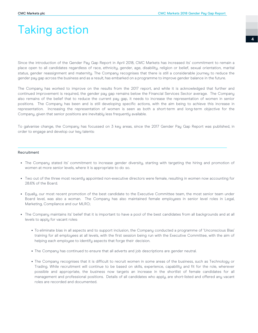# Taking action

Since the introduction of the Gender Pay Gap Report in April 2018, CMC Markets has increased its' commitment to remain a place open to all candidates regardless of race, ethnicity, gender, age, disability, religion or belief, sexual orientation, marital status, gender reassignment and maternity. The Company recognises that there is still a considerable journey to reduce the gender pay gap across the business and as a result, has embarked on a programme to improve gender balance in the future.

The Company has worked to improve on the results from the 2017 report, and while it is acknowledged that further and continued improvement is required, the gender pay gap remains below the Financial Services Sector average. The Company also remains of the belief that to reduce the current pay gap, it needs to increase the representation of women in senior positions. The Company has been and is still developing specific actions, with the aim being to achieve this increase in representation. Increasing the representation of women is seen as both a short-term and long-term objective for the Company, given that senior positions are inevitably less frequently available.

To galvanise change, the Company has focussed on 3 key areas, since the 2017 Gender Pay Gap Report was published, in order to engage and develop our key talents:

### Recruitment

- The Company stated its' commitment to increase gender diversity, starting with targeting the hiring and promotion of women at more senior levels, where it is appropriate to do so.
- Two out of the three most recently appointed non-executive directors were female, resulting in women now accounting for 28.6% of the Board.
- Equally, our most recent promotion of the best candidate to the Executive Committee team, the most senior team under Board level, was also a woman. The Company has also maintained female employees in senior level roles in Legal, Marketing, Compliance and our MLRO;
- The Company maintains its' belief that it is important to have a pool of the best candidates from all backgrounds and at all levels to apply for vacant roles:
	- To eliminate bias in all aspects and to support inclusion, the Company conducted a programme of 'Unconscious Bias' training for all employees at all levels, with the first session being run with the Executive Committee, with the aim of helping each employee to identify aspects that forge their decision.
	- The Company has continued to ensure that all adverts and job descriptions are gender neutral.
	- The Company recognises that it is difficult to recruit women in some areas of the business, such as Technology or Trading. While recruitment will continue to be based on skills, experience, capability and fit for the role, wherever possible and appropriate, the business now targets an increase in the shortlist of female candidates for all management and professional positions. Details of all candidates who apply, are short-listed and offered any vacant roles are recorded and documented.